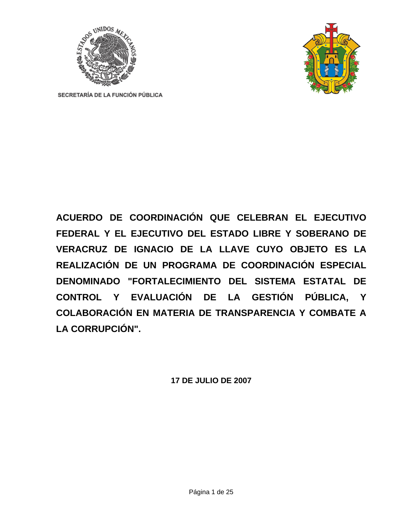



**ACUERDO DE COORDINACIÓN QUE CELEBRAN EL EJECUTIVO FEDERAL Y EL EJECUTIVO DEL ESTADO LIBRE Y SOBERANO DE VERACRUZ DE IGNACIO DE LA LLAVE CUYO OBJETO ES LA REALIZACIÓN DE UN PROGRAMA DE COORDINACIÓN ESPECIAL DENOMINADO "FORTALECIMIENTO DEL SISTEMA ESTATAL DE CONTROL Y EVALUACIÓN DE LA GESTIÓN PÚBLICA, Y COLABORACIÓN EN MATERIA DE TRANSPARENCIA Y COMBATE A LA CORRUPCIÓN".**

**17 DE JULIO DE 2007**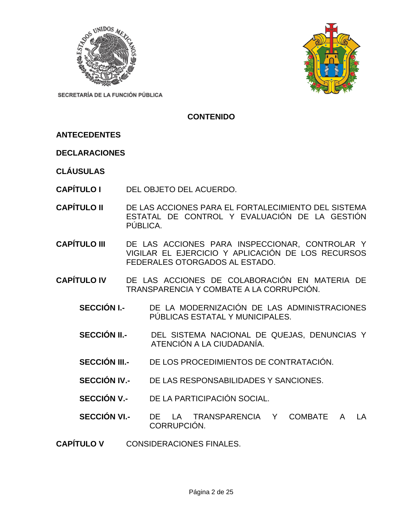



**CONTENIDO** 

#### **ANTECEDENTES**

**DECLARACIONES** 

**CLÁUSULAS** 

- **CAPÍTULO I** DEL OBJETO DEL ACUERDO.
- **CAPÍTULO II** DE LAS ACCIONES PARA EL FORTALECIMIENTO DEL SISTEMA ESTATAL DE CONTROL Y EVALUACIÓN DE LA GESTIÓN PÚBLICA.
- **CAPÍTULO III** DE LAS ACCIONES PARA INSPECCIONAR, CONTROLAR Y VIGILAR EL EJERCICIO Y APLICACIÓN DE LOS RECURSOS FEDERALES OTORGADOS AL ESTADO.
- **CAPÍTULO IV** DE LAS ACCIONES DE COLABORACIÓN EN MATERIA DE TRANSPARENCIA Y COMBATE A LA CORRUPCIÓN.
	- **SECCIÓN I.-** DE LA MODERNIZACIÓN DE LAS ADMINISTRACIONES PÚBLICAS ESTATAL Y MUNICIPALES.
	- **SECCIÓN II.-** DEL SISTEMA NACIONAL DE QUEJAS, DENUNCIAS Y ATENCIÓN A LA CIUDADANÍA.
	- **SECCIÓN III.-** DE LOS PROCEDIMIENTOS DE CONTRATACIÓN.
	- **SECCIÓN IV.-** DE LAS RESPONSABILIDADES Y SANCIONES.
	- **SECCIÓN V.-** DE LA PARTICIPACIÓN SOCIAL.
	- **SECCIÓN VI.-** DE LA TRANSPARENCIA Y COMBATE A LA CORRUPCIÓN.
- **CAPÍTULO V** CONSIDERACIONES FINALES.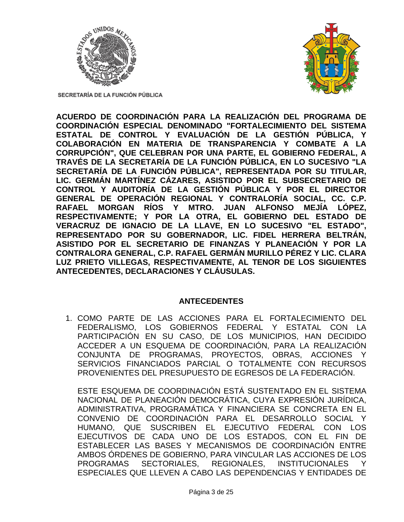



**ACUERDO DE COORDINACIÓN PARA LA REALIZACIÓN DEL PROGRAMA DE COORDINACIÓN ESPECIAL DENOMINADO "FORTALECIMIENTO DEL SISTEMA ESTATAL DE CONTROL Y EVALUACIÓN DE LA GESTIÓN PÚBLICA, Y COLABORACIÓN EN MATERIA DE TRANSPARENCIA Y COMBATE A LA CORRUPCIÓN", QUE CELEBRAN POR UNA PARTE, EL GOBIERNO FEDERAL, A TRAVÉS DE LA SECRETARÍA DE LA FUNCIÓN PÚBLICA, EN LO SUCESIVO "LA SECRETARÍA DE LA FUNCIÓN PÚBLICA", REPRESENTADA POR SU TITULAR, LIC. GERMÁN MARTÍNEZ CÁZARES, ASISTIDO POR EL SUBSECRETARIO DE CONTROL Y AUDITORÍA DE LA GESTIÓN PÚBLICA Y POR EL DIRECTOR GENERAL DE OPERACIÓN REGIONAL Y CONTRALORÍA SOCIAL, CC. C.P. RAFAEL MORGAN RÍOS Y MTRO. JUAN ALFONSO MEJÍA LÓPEZ, RESPECTIVAMENTE; Y POR LA OTRA, EL GOBIERNO DEL ESTADO DE VERACRUZ DE IGNACIO DE LA LLAVE, EN LO SUCESIVO "EL ESTADO", REPRESENTADO POR SU GOBERNADOR, LIC. FIDEL HERRERA BELTRÁN, ASISTIDO POR EL SECRETARIO DE FINANZAS Y PLANEACIÓN Y POR LA CONTRALORA GENERAL, C.P. RAFAEL GERMÁN MURILLO PÉREZ Y LIC. CLARA LUZ PRIETO VILLEGAS, RESPECTIVAMENTE, AL TENOR DE LOS SIGUIENTES ANTECEDENTES, DECLARACIONES Y CLÁUSULAS.** 

### **ANTECEDENTES**

1. COMO PARTE DE LAS ACCIONES PARA EL FORTALECIMIENTO DEL FEDERALISMO, LOS GOBIERNOS FEDERAL Y ESTATAL CON LA PARTICIPACIÓN EN SU CASO, DE LOS MUNICIPIOS, HAN DECIDIDO ACCEDER A UN ESQUEMA DE COORDINACIÓN, PARA LA REALIZACIÓN CONJUNTA DE PROGRAMAS, PROYECTOS, OBRAS, ACCIONES Y SERVICIOS FINANCIADOS PARCIAL O TOTALMENTE CON RECURSOS PROVENIENTES DEL PRESUPUESTO DE EGRESOS DE LA FEDERACIÓN.

ESTE ESQUEMA DE COORDINACIÓN ESTÁ SUSTENTADO EN EL SISTEMA NACIONAL DE PLANEACIÓN DEMOCRÁTICA, CUYA EXPRESIÓN JURÍDICA, ADMINISTRATIVA, PROGRAMÁTICA Y FINANCIERA SE CONCRETA EN EL CONVENIO DE COORDINACIÓN PARA EL DESARROLLO SOCIAL Y HUMANO, QUE SUSCRIBEN EL EJECUTIVO FEDERAL CON LOS EJECUTIVOS DE CADA UNO DE LOS ESTADOS, CON EL FIN DE ESTABLECER LAS BASES Y MECANISMOS DE COORDINACIÓN ENTRE AMBOS ÓRDENES DE GOBIERNO, PARA VINCULAR LAS ACCIONES DE LOS PROGRAMAS SECTORIALES, REGIONALES, INSTITUCIONALES Y ESPECIALES QUE LLEVEN A CABO LAS DEPENDENCIAS Y ENTIDADES DE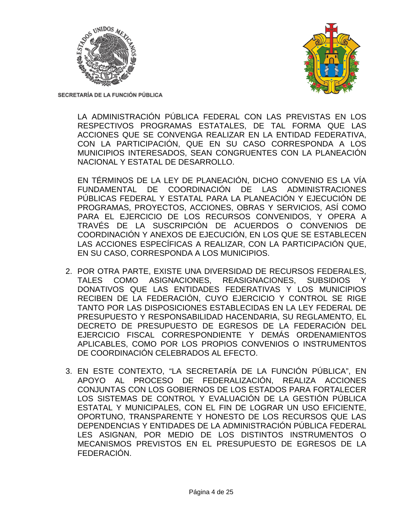



LA ADMINISTRACIÓN PÚBLICA FEDERAL CON LAS PREVISTAS EN LOS RESPECTIVOS PROGRAMAS ESTATALES, DE TAL FORMA QUE LAS ACCIONES QUE SE CONVENGA REALIZAR EN LA ENTIDAD FEDERATIVA, CON LA PARTICIPACIÓN, QUE EN SU CASO CORRESPONDA A LOS MUNICIPIOS INTERESADOS, SEAN CONGRUENTES CON LA PLANEACIÓN NACIONAL Y ESTATAL DE DESARROLLO.

EN TÉRMINOS DE LA LEY DE PLANEACIÓN, DICHO CONVENIO ES LA VÍA FUNDAMENTAL DE COORDINACIÓN DE LAS ADMINISTRACIONES PÚBLICAS FEDERAL Y ESTATAL PARA LA PLANEACIÓN Y EJECUCIÓN DE PROGRAMAS, PROYECTOS, ACCIONES, OBRAS Y SERVICIOS, ASÍ COMO PARA EL EJERCICIO DE LOS RECURSOS CONVENIDOS, Y OPERA A TRAVÉS DE LA SUSCRIPCIÓN DE ACUERDOS O CONVENIOS DE COORDINACIÓN Y ANEXOS DE EJECUCIÓN, EN LOS QUE SE ESTABLECEN LAS ACCIONES ESPECÍFICAS A REALIZAR, CON LA PARTICIPACIÓN QUE, EN SU CASO, CORRESPONDA A LOS MUNICIPIOS.

- 2. POR OTRA PARTE, EXISTE UNA DIVERSIDAD DE RECURSOS FEDERALES, TALES COMO ASIGNACIONES, REASIGNACIONES, SUBSIDIOS Y DONATIVOS QUE LAS ENTIDADES FEDERATIVAS Y LOS MUNICIPIOS RECIBEN DE LA FEDERACIÓN, CUYO EJERCICIO Y CONTROL SE RIGE TANTO POR LAS DISPOSICIONES ESTABLECIDAS EN LA LEY FEDERAL DE PRESUPUESTO Y RESPONSABILIDAD HACENDARIA, SU REGLAMENTO, EL DECRETO DE PRESUPUESTO DE EGRESOS DE LA FEDERACIÓN DEL EJERCICIO FISCAL CORRESPONDIENTE Y DEMÁS ORDENAMIENTOS APLICABLES, COMO POR LOS PROPIOS CONVENIOS O INSTRUMENTOS DE COORDINACIÓN CELEBRADOS AL EFECTO.
- 3. EN ESTE CONTEXTO, "LA SECRETARÍA DE LA FUNCIÓN PÚBLICA", EN APOYO AL PROCESO DE FEDERALIZACIÓN, REALIZA ACCIONES CONJUNTAS CON LOS GOBIERNOS DE LOS ESTADOS PARA FORTALECER LOS SISTEMAS DE CONTROL Y EVALUACIÓN DE LA GESTIÓN PÚBLICA ESTATAL Y MUNICIPALES, CON EL FIN DE LOGRAR UN USO EFICIENTE, OPORTUNO, TRANSPARENTE Y HONESTO DE LOS RECURSOS QUE LAS DEPENDENCIAS Y ENTIDADES DE LA ADMINISTRACIÓN PÚBLICA FEDERAL LES ASIGNAN, POR MEDIO DE LOS DISTINTOS INSTRUMENTOS O MECANISMOS PREVISTOS EN EL PRESUPUESTO DE EGRESOS DE LA FEDERACIÓN.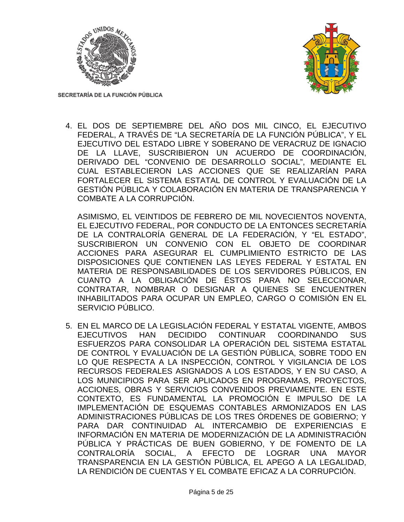



4. EL DOS DE SEPTIEMBRE DEL AÑO DOS MIL CINCO, EL EJECUTIVO FEDERAL, A TRAVÉS DE "LA SECRETARÍA DE LA FUNCIÓN PÚBLICA", Y EL EJECUTIVO DEL ESTADO LIBRE Y SOBERANO DE VERACRUZ DE IGNACIO DE LA LLAVE, SUSCRIBIERON UN ACUERDO DE COORDINACIÓN, DERIVADO DEL "CONVENIO DE DESARROLLO SOCIAL", MEDIANTE EL CUAL ESTABLECIERON LAS ACCIONES QUE SE REALIZARÍAN PARA FORTALECER EL SISTEMA ESTATAL DE CONTROL Y EVALUACIÓN DE LA GESTIÓN PÚBLICA Y COLABORACIÓN EN MATERIA DE TRANSPARENCIA Y COMBATE A LA CORRUPCIÓN.

ASIMISMO, EL VEINTIDOS DE FEBRERO DE MIL NOVECIENTOS NOVENTA, EL EJECUTIVO FEDERAL, POR CONDUCTO DE LA ENTONCES SECRETARÍA DE LA CONTRALORÍA GENERAL DE LA FEDERACIÓN, Y "EL ESTADO", SUSCRIBIERON UN CONVENIO CON EL OBJETO DE COORDINAR ACCIONES PARA ASEGURAR EL CUMPLIMIENTO ESTRICTO DE LAS DISPOSICIONES QUE CONTIENEN LAS LEYES FEDERAL Y ESTATAL EN MATERIA DE RESPONSABILIDADES DE LOS SERVIDORES PÚBLICOS, EN CUANTO A LA OBLIGACIÓN DE ÉSTOS PARA NO SELECCIONAR, CONTRATAR, NOMBRAR O DESIGNAR A QUIENES SE ENCUENTREN INHABILITADOS PARA OCUPAR UN EMPLEO, CARGO O COMISIÓN EN EL SERVICIO PÚBLICO.

5. EN EL MARCO DE LA LEGISLACIÓN FEDERAL Y ESTATAL VIGENTE, AMBOS EJECUTIVOS HAN DECIDIDO CONTINUAR COORDINANDO SUS ESFUERZOS PARA CONSOLIDAR LA OPERACIÓN DEL SISTEMA ESTATAL DE CONTROL Y EVALUACIÓN DE LA GESTIÓN PÚBLICA, SOBRE TODO EN LO QUE RESPECTA A LA INSPECCIÓN, CONTROL Y VIGILANCIA DE LOS RECURSOS FEDERALES ASIGNADOS A LOS ESTADOS, Y EN SU CASO, A LOS MUNICIPIOS PARA SER APLICADOS EN PROGRAMAS, PROYECTOS, ACCIONES, OBRAS Y SERVICIOS CONVENIDOS PREVIAMENTE. EN ESTE CONTEXTO, ES FUNDAMENTAL LA PROMOCIÓN E IMPULSO DE LA IMPLEMENTACIÓN DE ESQUEMAS CONTABLES ARMONIZADOS EN LAS ADMINISTRACIONES PÚBLICAS DE LOS TRES ÓRDENES DE GOBIERNO; Y PARA DAR CONTINUIDAD AL INTERCAMBIO DE EXPERIENCIAS E INFORMACIÓN EN MATERIA DE MODERNIZACIÓN DE LA ADMINISTRACIÓN PÚBLICA Y PRÁCTICAS DE BUEN GOBIERNO, Y DE FOMENTO DE LA CONTRALORÍA SOCIAL, A EFECTO DE LOGRAR UNA MAYOR TRANSPARENCIA EN LA GESTIÓN PÚBLICA, EL APEGO A LA LEGALIDAD, LA RENDICIÓN DE CUENTAS Y EL COMBATE EFICAZ A LA CORRUPCIÓN.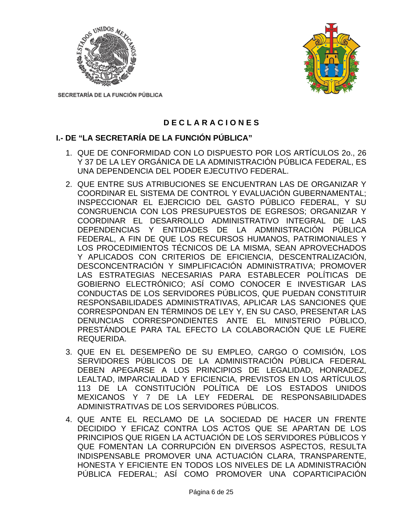

# **D E C L A R A C I O N E S**

### **I.- DE "LA SECRETARÍA DE LA FUNCIÓN PÚBLICA"**

- 1. QUE DE CONFORMIDAD CON LO DISPUESTO POR LOS ARTÍCULOS 2o., 26 Y 37 DE LA LEY ORGÁNICA DE LA ADMINISTRACIÓN PÚBLICA FEDERAL, ES UNA DEPENDENCIA DEL PODER EJECUTIVO FEDERAL.
- 2. QUE ENTRE SUS ATRIBUCIONES SE ENCUENTRAN LAS DE ORGANIZAR Y COORDINAR EL SISTEMA DE CONTROL Y EVALUACIÓN GUBERNAMENTAL; INSPECCIONAR EL EJERCICIO DEL GASTO PÚBLICO FEDERAL, Y SU CONGRUENCIA CON LOS PRESUPUESTOS DE EGRESOS; ORGANIZAR Y COORDINAR EL DESARROLLO ADMINISTRATIVO INTEGRAL DE LAS DEPENDENCIAS Y ENTIDADES DE LA ADMINISTRACIÓN PÚBLICA FEDERAL, A FIN DE QUE LOS RECURSOS HUMANOS, PATRIMONIALES Y LOS PROCEDIMIENTOS TÉCNICOS DE LA MISMA, SEAN APROVECHADOS Y APLICADOS CON CRITERIOS DE EFICIENCIA, DESCENTRALIZACIÓN, DESCONCENTRACIÓN Y SIMPLIFICACIÓN ADMINISTRATIVA; PROMOVER LAS ESTRATEGIAS NECESARIAS PARA ESTABLECER POLÍTICAS DE GOBIERNO ELECTRÓNICO; ASÍ COMO CONOCER E INVESTIGAR LAS CONDUCTAS DE LOS SERVIDORES PÚBLICOS, QUE PUEDAN CONSTITUIR RESPONSABILIDADES ADMINISTRATIVAS, APLICAR LAS SANCIONES QUE CORRESPONDAN EN TÉRMINOS DE LEY Y, EN SU CASO, PRESENTAR LAS DENUNCIAS CORRESPONDIENTES ANTE EL MINISTERIO PÚBLICO, PRESTÁNDOLE PARA TAL EFECTO LA COLABORACIÓN QUE LE FUERE REQUERIDA.
- 3. QUE EN EL DESEMPEÑO DE SU EMPLEO, CARGO O COMISIÓN, LOS SERVIDORES PÚBLICOS DE LA ADMINISTRACIÓN PÚBLICA FEDERAL DEBEN APEGARSE A LOS PRINCIPIOS DE LEGALIDAD, HONRADEZ, LEALTAD, IMPARCIALIDAD Y EFICIENCIA, PREVISTOS EN LOS ARTÍCULOS 113 DE LA CONSTITUCIÓN POLÍTICA DE LOS ESTADOS UNIDOS MEXICANOS Y 7 DE LA LEY FEDERAL DE RESPONSABILIDADES ADMINISTRATIVAS DE LOS SERVIDORES PÚBLICOS.
- 4. QUE ANTE EL RECLAMO DE LA SOCIEDAD DE HACER UN FRENTE DECIDIDO Y EFICAZ CONTRA LOS ACTOS QUE SE APARTAN DE LOS PRINCIPIOS QUE RIGEN LA ACTUACIÓN DE LOS SERVIDORES PÚBLICOS Y QUE FOMENTAN LA CORRUPCIÓN EN DIVERSOS ASPECTOS, RESULTA INDISPENSABLE PROMOVER UNA ACTUACIÓN CLARA, TRANSPARENTE, HONESTA Y EFICIENTE EN TODOS LOS NIVELES DE LA ADMINISTRACIÓN PÚBLICA FEDERAL; ASÍ COMO PROMOVER UNA COPARTICIPACIÓN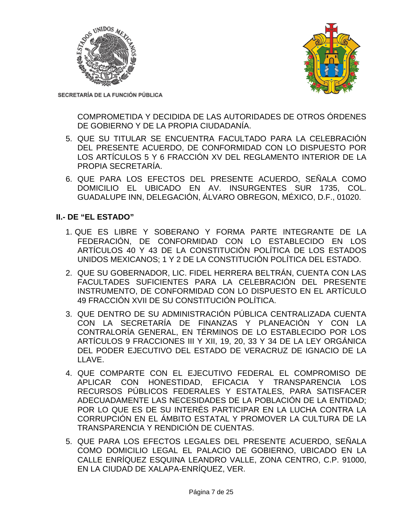



COMPROMETIDA Y DECIDIDA DE LAS AUTORIDADES DE OTROS ÓRDENES DE GOBIERNO Y DE LA PROPIA CIUDADANÍA.

- 5. QUE SU TITULAR SE ENCUENTRA FACULTADO PARA LA CELEBRACIÓN DEL PRESENTE ACUERDO, DE CONFORMIDAD CON LO DISPUESTO POR LOS ARTÍCULOS 5 Y 6 FRACCIÓN XV DEL REGLAMENTO INTERIOR DE LA PROPIA SECRETARÍA.
- 6. QUE PARA LOS EFECTOS DEL PRESENTE ACUERDO, SEÑALA COMO DOMICILIO EL UBICADO EN AV. INSURGENTES SUR 1735, COL. GUADALUPE INN, DELEGACIÓN, ÁLVARO OBREGON, MÉXICO, D.F., 01020.

#### **II.- DE "EL ESTADO"**

- 1. QUE ES LIBRE Y SOBERANO Y FORMA PARTE INTEGRANTE DE LA FEDERACIÓN, DE CONFORMIDAD CON LO ESTABLECIDO EN LOS ARTÍCULOS 40 Y 43 DE LA CONSTITUCIÓN POLÍTICA DE LOS ESTADOS UNIDOS MEXICANOS; 1 Y 2 DE LA CONSTITUCIÓN POLÍTICA DEL ESTADO.
- 2. QUE SU GOBERNADOR, LIC. FIDEL HERRERA BELTRÁN, CUENTA CON LAS FACULTADES SUFICIENTES PARA LA CELEBRACIÓN DEL PRESENTE INSTRUMENTO, DE CONFORMIDAD CON LO DISPUESTO EN EL ARTÍCULO 49 FRACCIÓN XVII DE SU CONSTITUCIÓN POLÍTICA.
- 3. QUE DENTRO DE SU ADMINISTRACIÓN PÚBLICA CENTRALIZADA CUENTA CON LA SECRETARÍA DE FINANZAS Y PLANEACIÓN Y CON LA CONTRALORÍA GENERAL, EN TÉRMINOS DE LO ESTABLECIDO POR LOS ARTÍCULOS 9 FRACCIONES III Y XII, 19, 20, 33 Y 34 DE LA LEY ORGÁNICA DEL PODER EJECUTIVO DEL ESTADO DE VERACRUZ DE IGNACIO DE LA LLAVE.
- 4. QUE COMPARTE CON EL EJECUTIVO FEDERAL EL COMPROMISO DE APLICAR CON HONESTIDAD, EFICACIA Y TRANSPARENCIA LOS RECURSOS PÚBLICOS FEDERALES Y ESTATALES, PARA SATISFACER ADECUADAMENTE LAS NECESIDADES DE LA POBLACIÓN DE LA ENTIDAD; POR LO QUE ES DE SU INTERÉS PARTICIPAR EN LA LUCHA CONTRA LA CORRUPCIÓN EN EL ÁMBITO ESTATAL Y PROMOVER LA CULTURA DE LA TRANSPARENCIA Y RENDICIÓN DE CUENTAS.
- 5. QUE PARA LOS EFECTOS LEGALES DEL PRESENTE ACUERDO, SEÑALA COMO DOMICILIO LEGAL EL PALACIO DE GOBIERNO, UBICADO EN LA CALLE ENRÍQUEZ ESQUINA LEANDRO VALLE, ZONA CENTRO, C.P. 91000, EN LA CIUDAD DE XALAPA-ENRÍQUEZ, VER.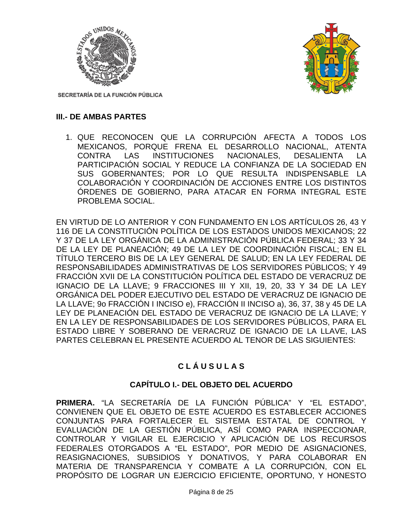



#### **III.- DE AMBAS PARTES**

1. QUE RECONOCEN QUE LA CORRUPCIÓN AFECTA A TODOS LOS MEXICANOS, PORQUE FRENA EL DESARROLLO NACIONAL, ATENTA CONTRA LAS INSTITUCIONES NACIONALES, DESALIENTA LA PARTICIPACIÓN SOCIAL Y REDUCE LA CONFIANZA DE LA SOCIEDAD EN SUS GOBERNANTES; POR LO QUE RESULTA INDISPENSABLE LA COLABORACIÓN Y COORDINACIÓN DE ACCIONES ENTRE LOS DISTINTOS ÓRDENES DE GOBIERNO, PARA ATACAR EN FORMA INTEGRAL ESTE PROBLEMA SOCIAL.

EN VIRTUD DE LO ANTERIOR Y CON FUNDAMENTO EN LOS ARTÍCULOS 26, 43 Y 116 DE LA CONSTITUCIÓN POLÍTICA DE LOS ESTADOS UNIDOS MEXICANOS; 22 Y 37 DE LA LEY ORGÁNICA DE LA ADMINISTRACIÓN PÚBLICA FEDERAL; 33 Y 34 DE LA LEY DE PLANEACIÓN; 49 DE LA LEY DE COORDINACIÓN FISCAL; EN EL TÍTULO TERCERO BIS DE LA LEY GENERAL DE SALUD; EN LA LEY FEDERAL DE RESPONSABILIDADES ADMINISTRATIVAS DE LOS SERVIDORES PÚBLICOS; Y 49 FRACCIÓN XVII DE LA CONSTITUCIÓN POLÍTICA DEL ESTADO DE VERACRUZ DE IGNACIO DE LA LLAVE; 9 FRACCIONES III Y XII, 19, 20, 33 Y 34 DE LA LEY ORGÁNICA DEL PODER EJECUTIVO DEL ESTADO DE VERACRUZ DE IGNACIO DE LA LLAVE; 9o FRACCIÓN I INCISO e), FRACCIÓN II INCISO a), 36, 37, 38 y 45 DE LA LEY DE PLANEACIÓN DEL ESTADO DE VERACRUZ DE IGNACIO DE LA LLAVE; Y EN LA LEY DE RESPONSABILIDADES DE LOS SERVIDORES PÚBLICOS, PARA EL ESTADO LIBRE Y SOBERANO DE VERACRUZ DE IGNACIO DE LA LLAVE, LAS PARTES CELEBRAN EL PRESENTE ACUERDO AL TENOR DE LAS SIGUIENTES:

# **C L Á U S U L A S**

### **CAPÍTULO I.- DEL OBJETO DEL ACUERDO**

**PRIMERA.** "LA SECRETARÍA DE LA FUNCIÓN PÚBLICA" Y "EL ESTADO", CONVIENEN QUE EL OBJETO DE ESTE ACUERDO ES ESTABLECER ACCIONES CONJUNTAS PARA FORTALECER EL SISTEMA ESTATAL DE CONTROL Y EVALUACIÓN DE LA GESTIÓN PÚBLICA, ASÍ COMO PARA INSPECCIONAR, CONTROLAR Y VIGILAR EL EJERCICIO Y APLICACIÓN DE LOS RECURSOS FEDERALES OTORGADOS A "EL ESTADO", POR MEDIO DE ASIGNACIONES, REASIGNACIONES, SUBSIDIOS Y DONATIVOS, Y PARA COLABORAR EN MATERIA DE TRANSPARENCIA Y COMBATE A LA CORRUPCIÓN, CON EL PROPÓSITO DE LOGRAR UN EJERCICIO EFICIENTE, OPORTUNO, Y HONESTO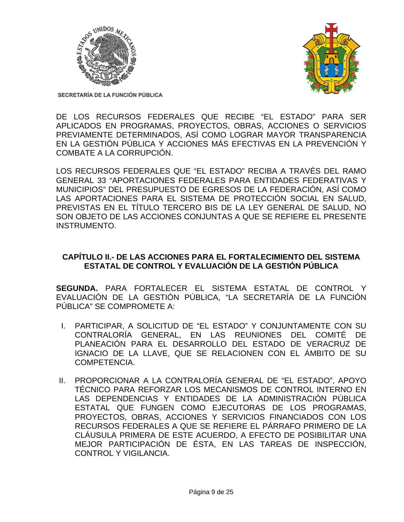



DE LOS RECURSOS FEDERALES QUE RECIBE "EL ESTADO" PARA SER APLICADOS EN PROGRAMAS, PROYECTOS, OBRAS, ACCIONES O SERVICIOS PREVIAMENTE DETERMINADOS, ASÍ COMO LOGRAR MAYOR TRANSPARENCIA EN LA GESTIÓN PÚBLICA Y ACCIONES MÁS EFECTIVAS EN LA PREVENCIÓN Y COMBATE A LA CORRUPCIÓN.

LOS RECURSOS FEDERALES QUE "EL ESTADO" RECIBA A TRAVÉS DEL RAMO GENERAL 33 "APORTACIONES FEDERALES PARA ENTIDADES FEDERATIVAS Y MUNICIPIOS" DEL PRESUPUESTO DE EGRESOS DE LA FEDERACIÓN, ASÍ COMO LAS APORTACIONES PARA EL SISTEMA DE PROTECCIÓN SOCIAL EN SALUD, PREVISTAS EN EL TÍTULO TERCERO BIS DE LA LEY GENERAL DE SALUD, NO SON OBJETO DE LAS ACCIONES CONJUNTAS A QUE SE REFIERE EL PRESENTE INSTRUMENTO.

#### **CAPÍTULO II.- DE LAS ACCIONES PARA EL FORTALECIMIENTO DEL SISTEMA ESTATAL DE CONTROL Y EVALUACIÓN DE LA GESTIÓN PÚBLICA**

**SEGUNDA.** PARA FORTALECER EL SISTEMA ESTATAL DE CONTROL Y EVALUACIÓN DE LA GESTIÓN PÚBLICA, "LA SECRETARÍA DE LA FUNCIÓN PÚBLICA" SE COMPROMETE A:

- I. PARTICIPAR, A SOLICITUD DE "EL ESTADO" Y CONJUNTAMENTE CON SU CONTRALORÍA GENERAL, EN LAS REUNIONES DEL COMITÉ DE PLANEACIÓN PARA EL DESARROLLO DEL ESTADO DE VERACRUZ DE IGNACIO DE LA LLAVE, QUE SE RELACIONEN CON EL ÁMBITO DE SU COMPETENCIA.
- II. PROPORCIONAR A LA CONTRALORÍA GENERAL DE "EL ESTADO", APOYO TÉCNICO PARA REFORZAR LOS MECANISMOS DE CONTROL INTERNO EN LAS DEPENDENCIAS Y ENTIDADES DE LA ADMINISTRACIÓN PÚBLICA ESTATAL QUE FUNGEN COMO EJECUTORAS DE LOS PROGRAMAS, PROYECTOS, OBRAS, ACCIONES Y SERVICIOS FINANCIADOS CON LOS RECURSOS FEDERALES A QUE SE REFIERE EL PÁRRAFO PRIMERO DE LA CLÁUSULA PRIMERA DE ESTE ACUERDO, A EFECTO DE POSIBILITAR UNA MEJOR PARTICIPACIÓN DE ÉSTA, EN LAS TAREAS DE INSPECCIÓN, CONTROL Y VIGILANCIA.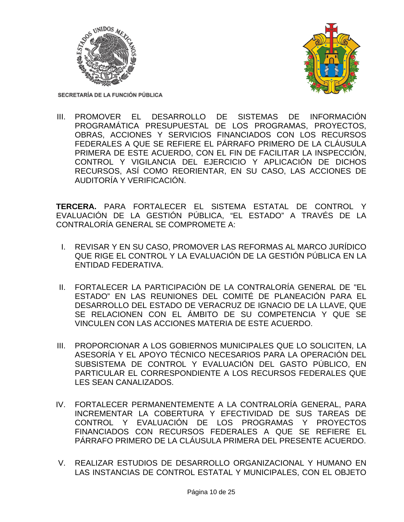



III. PROMOVER EL DESARROLLO DE SISTEMAS DE INFORMACIÓN PROGRAMÁTICA PRESUPUESTAL DE LOS PROGRAMAS, PROYECTOS, OBRAS, ACCIONES Y SERVICIOS FINANCIADOS CON LOS RECURSOS FEDERALES A QUE SE REFIERE EL PÁRRAFO PRIMERO DE LA CLÁUSULA PRIMERA DE ESTE ACUERDO, CON EL FIN DE FACILITAR LA INSPECCIÓN, CONTROL Y VIGILANCIA DEL EJERCICIO Y APLICACIÓN DE DICHOS RECURSOS, ASÍ COMO REORIENTAR, EN SU CASO, LAS ACCIONES DE AUDITORÍA Y VERIFICACIÓN.

**TERCERA.** PARA FORTALECER EL SISTEMA ESTATAL DE CONTROL Y EVALUACIÓN DE LA GESTIÓN PÚBLICA, "EL ESTADO" A TRAVÉS DE LA CONTRALORÍA GENERAL SE COMPROMETE A:

- I. REVISAR Y EN SU CASO, PROMOVER LAS REFORMAS AL MARCO JURÍDICO QUE RIGE EL CONTROL Y LA EVALUACIÓN DE LA GESTIÓN PÚBLICA EN LA ENTIDAD FEDERATIVA.
- II. FORTALECER LA PARTICIPACIÓN DE LA CONTRALORÍA GENERAL DE "EL ESTADO" EN LAS REUNIONES DEL COMITÉ DE PLANEACIÓN PARA EL DESARROLLO DEL ESTADO DE VERACRUZ DE IGNACIO DE LA LLAVE, QUE SE RELACIONEN CON EL ÁMBITO DE SU COMPETENCIA Y QUE SE VINCULEN CON LAS ACCIONES MATERIA DE ESTE ACUERDO.
- III. PROPORCIONAR A LOS GOBIERNOS MUNICIPALES QUE LO SOLICITEN, LA ASESORÍA Y EL APOYO TÉCNICO NECESARIOS PARA LA OPERACIÓN DEL SUBSISTEMA DE CONTROL Y EVALUACIÓN DEL GASTO PÚBLICO, EN PARTICULAR EL CORRESPONDIENTE A LOS RECURSOS FEDERALES QUE LES SEAN CANALIZADOS.
- IV. FORTALECER PERMANENTEMENTE A LA CONTRALORÍA GENERAL, PARA INCREMENTAR LA COBERTURA Y EFECTIVIDAD DE SUS TAREAS DE CONTROL Y EVALUACIÓN DE LOS PROGRAMAS Y PROYECTOS FINANCIADOS CON RECURSOS FEDERALES A QUE SE REFIERE EL PÁRRAFO PRIMERO DE LA CLÁUSULA PRIMERA DEL PRESENTE ACUERDO.
- V. REALIZAR ESTUDIOS DE DESARROLLO ORGANIZACIONAL Y HUMANO EN LAS INSTANCIAS DE CONTROL ESTATAL Y MUNICIPALES, CON EL OBJETO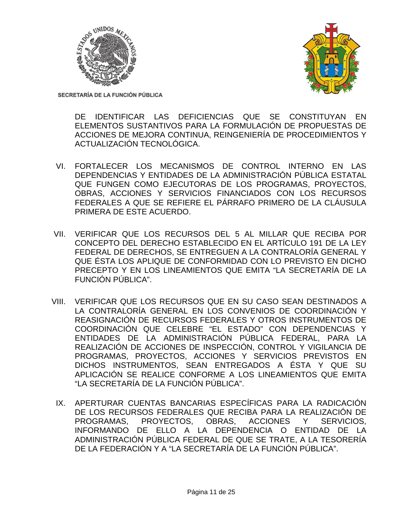



DE IDENTIFICAR LAS DEFICIENCIAS QUE SE CONSTITUYAN EN ELEMENTOS SUSTANTIVOS PARA LA FORMULACIÓN DE PROPUESTAS DE ACCIONES DE MEJORA CONTINUA, REINGENIERÍA DE PROCEDIMIENTOS Y ACTUALIZACIÓN TECNOLÓGICA.

- VI. FORTALECER LOS MECANISMOS DE CONTROL INTERNO EN LAS DEPENDENCIAS Y ENTIDADES DE LA ADMINISTRACIÓN PÚBLICA ESTATAL QUE FUNGEN COMO EJECUTORAS DE LOS PROGRAMAS, PROYECTOS, OBRAS, ACCIONES Y SERVICIOS FINANCIADOS CON LOS RECURSOS FEDERALES A QUE SE REFIERE EL PÁRRAFO PRIMERO DE LA CLÁUSULA PRIMERA DE ESTE ACUERDO.
- VII. VERIFICAR QUE LOS RECURSOS DEL 5 AL MILLAR QUE RECIBA POR CONCEPTO DEL DERECHO ESTABLECIDO EN EL ARTÍCULO 191 DE LA LEY FEDERAL DE DERECHOS, SE ENTREGUEN A LA CONTRALORÍA GENERAL Y QUE ÉSTA LOS APLIQUE DE CONFORMIDAD CON LO PREVISTO EN DICHO PRECEPTO Y EN LOS LINEAMIENTOS QUE EMITA "LA SECRETARÍA DE LA FUNCIÓN PÚBLICA".
- VIII. VERIFICAR QUE LOS RECURSOS QUE EN SU CASO SEAN DESTINADOS A LA CONTRALORÍA GENERAL EN LOS CONVENIOS DE COORDINACIÓN Y REASIGNACIÓN DE RECURSOS FEDERALES Y OTROS INSTRUMENTOS DE COORDINACIÓN QUE CELEBRE "EL ESTADO" CON DEPENDENCIAS Y ENTIDADES DE LA ADMINISTRACIÓN PÚBLICA FEDERAL, PARA LA REALIZACIÓN DE ACCIONES DE INSPECCIÓN, CONTROL Y VIGILANCIA DE PROGRAMAS, PROYECTOS, ACCIONES Y SERVICIOS PREVISTOS EN DICHOS INSTRUMENTOS, SEAN ENTREGADOS A ÉSTA Y QUE SU APLICACIÓN SE REALICE CONFORME A LOS LINEAMIENTOS QUE EMITA "LA SECRETARÍA DE LA FUNCIÓN PÚBLICA".
- IX. APERTURAR CUENTAS BANCARIAS ESPECÍFICAS PARA LA RADICACIÓN DE LOS RECURSOS FEDERALES QUE RECIBA PARA LA REALIZACIÓN DE PROGRAMAS, PROYECTOS, OBRAS, ACCIONES Y SERVICIOS, INFORMANDO DE ELLO A LA DEPENDENCIA O ENTIDAD DE LA ADMINISTRACIÓN PÚBLICA FEDERAL DE QUE SE TRATE, A LA TESORERÍA DE LA FEDERACIÓN Y A "LA SECRETARÍA DE LA FUNCIÓN PÚBLICA".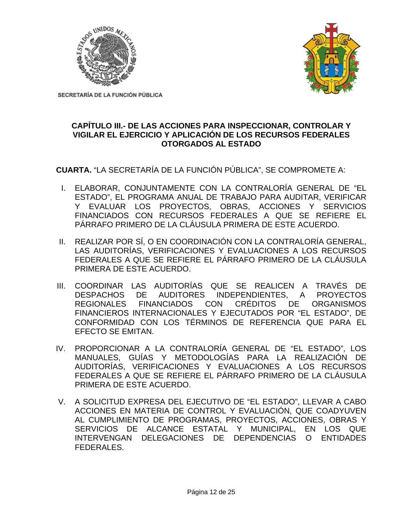



# **CAPÍTULO III.- DE LAS ACCIONES PARA INSPECCIONAR, CONTROLAR Y VIGILAR EL EJERCICIO Y APLICACIÓN DE LOS RECURSOS FEDERALES OTORGADOS AL ESTADO**

**CUARTA.** "LA SECRETARÍA DE LA FUNCIÓN PÚBLICA", SE COMPROMETE A:

- I. ELABORAR, CONJUNTAMENTE CON LA CONTRALORÍA GENERAL DE "EL ESTADO", EL PROGRAMA ANUAL DE TRABAJO PARA AUDITAR, VERIFICAR Y EVALUAR LOS PROYECTOS, OBRAS, ACCIONES Y SERVICIOS FINANCIADOS CON RECURSOS FEDERALES A QUE SE REFIERE EL PÁRRAFO PRIMERO DE LA CLÁUSULA PRIMERA DE ESTE ACUERDO.
- II. REALIZAR POR SÍ, O EN COORDINACIÓN CON LA CONTRALORÍA GENERAL, LAS AUDITORÍAS, VERIFICACIONES Y EVALUACIONES A LOS RECURSOS FEDERALES A QUE SE REFIERE EL PÁRRAFO PRIMERO DE LA CLÁUSULA PRIMERA DE ESTE ACUERDO.
- III. COORDINAR LAS AUDITORÍAS QUE SE REALICEN A TRAVÉS DE DESPACHOS DE AUDITORES INDEPENDIENTES, A PROYECTOS REGIONALES FINANCIADOS CON CRÉDITOS DE ORGANISMOS FINANCIEROS INTERNACIONALES Y EJECUTADOS POR "EL ESTADO", DE CONFORMIDAD CON LOS TÉRMINOS DE REFERENCIA QUE PARA EL EFECTO SE EMITAN.
- IV. PROPORCIONAR A LA CONTRALORÍA GENERAL DE "EL ESTADO", LOS MANUALES, GUÍAS Y METODOLOGÍAS PARA LA REALIZACIÓN DE AUDITORÍAS, VERIFICACIONES Y EVALUACIONES A LOS RECURSOS FEDERALES A QUE SE REFIERE EL PÁRRAFO PRIMERO DE LA CLÁUSULA PRIMERA DE ESTE ACUERDO.
- V. A SOLICITUD EXPRESA DEL EJECUTIVO DE "EL ESTADO", LLEVAR A CABO ACCIONES EN MATERIA DE CONTROL Y EVALUACIÓN, QUE COADYUVEN AL CUMPLIMIENTO DE PROGRAMAS, PROYECTOS, ACCIONES, OBRAS Y SERVICIOS DE ALCANCE ESTATAL Y MUNICIPAL, EN LOS QUE INTERVENGAN DELEGACIONES DE DEPENDENCIAS O ENTIDADES FEDERALES.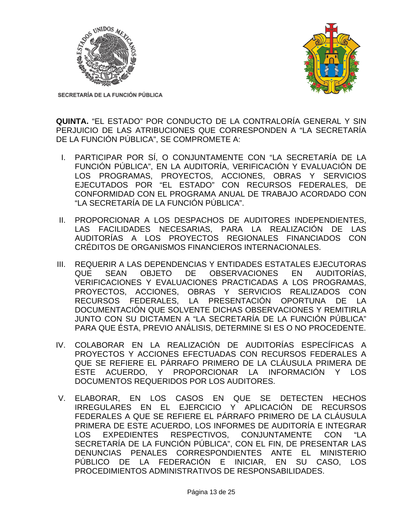



**QUINTA.** "EL ESTADO" POR CONDUCTO DE LA CONTRALORÍA GENERAL Y SIN PERJUICIO DE LAS ATRIBUCIONES QUE CORRESPONDEN A "LA SECRETARÍA DE LA FUNCIÓN PÚBLICA", SE COMPROMETE A:

- I. PARTICIPAR POR SÍ, O CONJUNTAMENTE CON "LA SECRETARÍA DE LA FUNCIÓN PÚBLICA", EN LA AUDITORÍA, VERIFICACIÓN Y EVALUACIÓN DE LOS PROGRAMAS, PROYECTOS, ACCIONES, OBRAS Y SERVICIOS EJECUTADOS POR "EL ESTADO" CON RECURSOS FEDERALES, DE CONFORMIDAD CON EL PROGRAMA ANUAL DE TRABAJO ACORDADO CON "LA SECRETARÍA DE LA FUNCIÓN PÚBLICA".
- II. PROPORCIONAR A LOS DESPACHOS DE AUDITORES INDEPENDIENTES, LAS FACILIDADES NECESARIAS, PARA LA REALIZACIÓN DE LAS AUDITORÍAS A LOS PROYECTOS REGIONALES FINANCIADOS CON CRÉDITOS DE ORGANISMOS FINANCIEROS INTERNACIONALES.
- III. REQUERIR A LAS DEPENDENCIAS Y ENTIDADES ESTATALES EJECUTORAS QUE SEAN OBJETO DE OBSERVACIONES EN AUDITORÍAS, VERIFICACIONES Y EVALUACIONES PRACTICADAS A LOS PROGRAMAS, PROYECTOS, ACCIONES, OBRAS Y SERVICIOS REALIZADOS CON RECURSOS FEDERALES, LA PRESENTACIÓN OPORTUNA DE LA DOCUMENTACIÓN QUE SOLVENTE DICHAS OBSERVACIONES Y REMITIRLA JUNTO CON SU DICTAMEN A "LA SECRETARÍA DE LA FUNCIÓN PÚBLICA" PARA QUE ÉSTA, PREVIO ANÁLISIS, DETERMINE SI ES O NO PROCEDENTE.
- IV. COLABORAR EN LA REALIZACIÓN DE AUDITORÍAS ESPECÍFICAS A PROYECTOS Y ACCIONES EFECTUADAS CON RECURSOS FEDERALES A QUE SE REFIERE EL PÁRRAFO PRIMERO DE LA CLÁUSULA PRIMERA DE ESTE ACUERDO, Y PROPORCIONAR LA INFORMACIÓN Y LOS DOCUMENTOS REQUERIDOS POR LOS AUDITORES.
- V. ELABORAR, EN LOS CASOS EN QUE SE DETECTEN HECHOS IRREGULARES EN EL EJERCICIO Y APLICACIÓN DE RECURSOS FEDERALES A QUE SE REFIERE EL PÁRRAFO PRIMERO DE LA CLÁUSULA PRIMERA DE ESTE ACUERDO, LOS INFORMES DE AUDITORÍA E INTEGRAR LOS EXPEDIENTES RESPECTIVOS, CONJUNTAMENTE CON "LA SECRETARÍA DE LA FUNCIÓN PÚBLICA", CON EL FIN, DE PRESENTAR LAS DENUNCIAS PENALES CORRESPONDIENTES ANTE EL MINISTERIO PÚBLICO DE LA FEDERACIÓN E INICIAR, EN SU CASO, LOS PROCEDIMIENTOS ADMINISTRATIVOS DE RESPONSABILIDADES.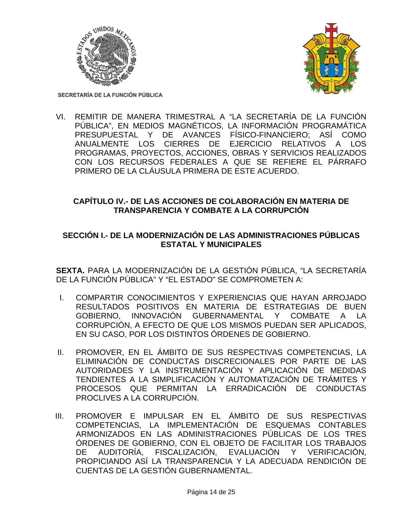



VI. REMITIR DE MANERA TRIMESTRAL A "LA SECRETARÍA DE LA FUNCIÓN PÚBLICA", EN MEDIOS MAGNÉTICOS, LA INFORMACIÓN PROGRAMÁTICA PRESUPUESTAL Y DE AVANCES FÍSICO-FINANCIERO; ASÍ COMO ANUALMENTE LOS CIERRES DE EJERCICIO RELATIVOS A LOS PROGRAMAS, PROYECTOS, ACCIONES, OBRAS Y SERVICIOS REALIZADOS CON LOS RECURSOS FEDERALES A QUE SE REFIERE EL PÁRRAFO PRIMERO DE LA CLÁUSULA PRIMERA DE ESTE ACUERDO.

### **CAPÍTULO IV.- DE LAS ACCIONES DE COLABORACIÓN EN MATERIA DE TRANSPARENCIA Y COMBATE A LA CORRUPCIÓN**

### **SECCIÓN I.- DE LA MODERNIZACIÓN DE LAS ADMINISTRACIONES PÚBLICAS ESTATAL Y MUNICIPALES**

**SEXTA.** PARA LA MODERNIZACIÓN DE LA GESTIÓN PÚBLICA, "LA SECRETARÍA DE LA FUNCIÓN PÚBLICA" Y "EL ESTADO" SE COMPROMETEN A:

- I. COMPARTIR CONOCIMIENTOS Y EXPERIENCIAS QUE HAYAN ARROJADO RESULTADOS POSITIVOS EN MATERIA DE ESTRATEGIAS DE BUEN GOBIERNO, INNOVACIÓN GUBERNAMENTAL Y COMBATE A LA CORRUPCIÓN, A EFECTO DE QUE LOS MISMOS PUEDAN SER APLICADOS, EN SU CASO, POR LOS DISTINTOS ÓRDENES DE GOBIERNO.
- II. PROMOVER, EN EL ÁMBITO DE SUS RESPECTIVAS COMPETENCIAS, LA ELIMINACIÓN DE CONDUCTAS DISCRECIONALES POR PARTE DE LAS AUTORIDADES Y LA INSTRUMENTACIÓN Y APLICACIÓN DE MEDIDAS TENDIENTES A LA SIMPLIFICACIÓN Y AUTOMATIZACIÓN DE TRÁMITES Y PROCESOS QUE PERMITAN LA ERRADICACIÓN DE CONDUCTAS PROCLIVES A LA CORRUPCIÓN.
- III. PROMOVER E IMPULSAR EN EL ÁMBITO DE SUS RESPECTIVAS COMPETENCIAS, LA IMPLEMENTACIÓN DE ESQUEMAS CONTABLES ARMONIZADOS EN LAS ADMINISTRACIONES PÚBLICAS DE LOS TRES ÓRDENES DE GOBIERNO, CON EL OBJETO DE FACILITAR LOS TRABAJOS DE AUDITORÍA, FISCALIZACIÓN, EVALUACIÓN Y VERIFICACIÓN, PROPICIANDO ASÍ LA TRANSPARENCIA Y LA ADECUADA RENDICIÓN DE CUENTAS DE LA GESTIÓN GUBERNAMENTAL.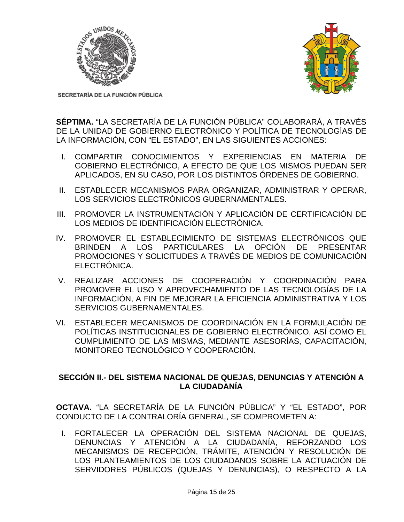



**SÉPTIMA.** "LA SECRETARÍA DE LA FUNCIÓN PÚBLICA" COLABORARÁ, A TRAVÉS DE LA UNIDAD DE GOBIERNO ELECTRÓNICO Y POLÍTICA DE TECNOLOGÍAS DE LA INFORMACIÓN, CON "EL ESTADO", EN LAS SIGUIENTES ACCIONES:

- I. COMPARTIR CONOCIMIENTOS Y EXPERIENCIAS EN MATERIA DE GOBIERNO ELECTRÓNICO, A EFECTO DE QUE LOS MISMOS PUEDAN SER APLICADOS, EN SU CASO, POR LOS DISTINTOS ÓRDENES DE GOBIERNO.
- II. ESTABLECER MECANISMOS PARA ORGANIZAR, ADMINISTRAR Y OPERAR, LOS SERVICIOS ELECTRÓNICOS GUBERNAMENTALES.
- III. PROMOVER LA INSTRUMENTACIÓN Y APLICACIÓN DE CERTIFICACIÓN DE LOS MEDIOS DE IDENTIFICACIÓN ELECTRÓNICA.
- IV. PROMOVER EL ESTABLECIMIENTO DE SISTEMAS ELECTRÓNICOS QUE BRINDEN A LOS PARTICULARES LA OPCIÓN DE PRESENTAR PROMOCIONES Y SOLICITUDES A TRAVÉS DE MEDIOS DE COMUNICACIÓN ELECTRÓNICA.
- V. REALIZAR ACCIONES DE COOPERACIÓN Y COORDINACIÓN PARA PROMOVER EL USO Y APROVECHAMIENTO DE LAS TECNOLOGÍAS DE LA INFORMACIÓN, A FIN DE MEJORAR LA EFICIENCIA ADMINISTRATIVA Y LOS SERVICIOS GUBERNAMENTALES.
- VI. ESTABLECER MECANISMOS DE COORDINACIÓN EN LA FORMULACIÓN DE POLÍTICAS INSTITUCIONALES DE GOBIERNO ELECTRÓNICO, ASÍ COMO EL CUMPLIMIENTO DE LAS MISMAS, MEDIANTE ASESORÍAS, CAPACITACIÓN, MONITOREO TECNOLÓGICO Y COOPERACIÓN.

### **SECCIÓN II.- DEL SISTEMA NACIONAL DE QUEJAS, DENUNCIAS Y ATENCIÓN A LA CIUDADANÍA**

**OCTAVA.** "LA SECRETARÍA DE LA FUNCIÓN PÚBLICA" Y "EL ESTADO", POR CONDUCTO DE LA CONTRALORÍA GENERAL, SE COMPROMETEN A:

I. FORTALECER LA OPERACIÓN DEL SISTEMA NACIONAL DE QUEJAS, DENUNCIAS Y ATENCIÓN A LA CIUDADANÍA, REFORZANDO LOS MECANISMOS DE RECEPCIÓN, TRÁMITE, ATENCIÓN Y RESOLUCIÓN DE LOS PLANTEAMIENTOS DE LOS CIUDADANOS SOBRE LA ACTUACIÓN DE SERVIDORES PÚBLICOS (QUEJAS Y DENUNCIAS), O RESPECTO A LA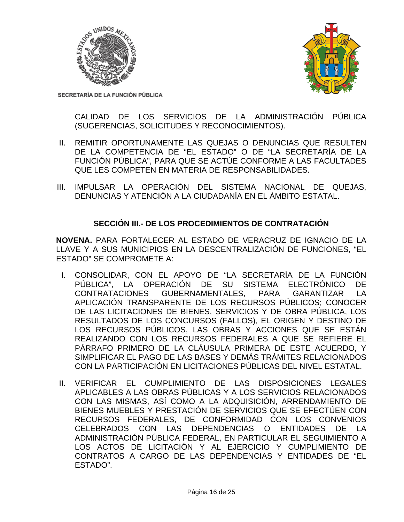



CALIDAD DE LOS SERVICIOS DE LA ADMINISTRACIÓN PÚBLICA (SUGERENCIAS, SOLICITUDES Y RECONOCIMIENTOS).

- II. REMITIR OPORTUNAMENTE LAS QUEJAS O DENUNCIAS QUE RESULTEN DE LA COMPETENCIA DE "EL ESTADO" O DE "LA SECRETARÍA DE LA FUNCIÓN PÚBLICA", PARA QUE SE ACTÚE CONFORME A LAS FACULTADES QUE LES COMPETEN EN MATERIA DE RESPONSABILIDADES.
- III. IMPULSAR LA OPERACIÓN DEL SISTEMA NACIONAL DE QUEJAS, DENUNCIAS Y ATENCIÓN A LA CIUDADANÍA EN EL ÁMBITO ESTATAL.

# **SECCIÓN III.- DE LOS PROCEDIMIENTOS DE CONTRATACIÓN**

**NOVENA.** PARA FORTALECER AL ESTADO DE VERACRUZ DE IGNACIO DE LA LLAVE Y A SUS MUNICIPIOS EN LA DESCENTRALIZACIÓN DE FUNCIONES, "EL ESTADO" SE COMPROMETE A:

- I. CONSOLIDAR, CON EL APOYO DE "LA SECRETARÍA DE LA FUNCIÓN PÚBLICA", LA OPERACIÓN DE SU SISTEMA ELECTRÓNICO DE CONTRATACIONES GUBERNAMENTALES, PARA GARANTIZAR LA APLICACIÓN TRANSPARENTE DE LOS RECURSOS PÚBLICOS; CONOCER DE LAS LICITACIONES DE BIENES, SERVICIOS Y DE OBRA PÚBLICA, LOS RESULTADOS DE LOS CONCURSOS (FALLOS), EL ORIGEN Y DESTINO DE LOS RECURSOS PÚBLICOS, LAS OBRAS Y ACCIONES QUE SE ESTÁN REALIZANDO CON LOS RECURSOS FEDERALES A QUE SE REFIERE EL PÁRRAFO PRIMERO DE LA CLÁUSULA PRIMERA DE ESTE ACUERDO, Y SIMPLIFICAR EL PAGO DE LAS BASES Y DEMÁS TRÁMITES RELACIONADOS CON LA PARTICIPACIÓN EN LICITACIONES PÚBLICAS DEL NIVEL ESTATAL.
- II. VERIFICAR EL CUMPLIMIENTO DE LAS DISPOSICIONES LEGALES APLICABLES A LAS OBRAS PÚBLICAS Y A LOS SERVICIOS RELACIONADOS CON LAS MISMAS, ASÍ COMO A LA ADQUISICIÓN, ARRENDAMIENTO DE BIENES MUEBLES Y PRESTACIÓN DE SERVICIOS QUE SE EFECTÚEN CON RECURSOS FEDERALES, DE CONFORMIDAD CON LOS CONVENIOS CELEBRADOS CON LAS DEPENDENCIAS O ENTIDADES DE LA ADMINISTRACIÓN PÚBLICA FEDERAL, EN PARTICULAR EL SEGUIMIENTO A LOS ACTOS DE LICITACIÓN Y AL EJERCICIO Y CUMPLIMIENTO DE CONTRATOS A CARGO DE LAS DEPENDENCIAS Y ENTIDADES DE "EL ESTADO".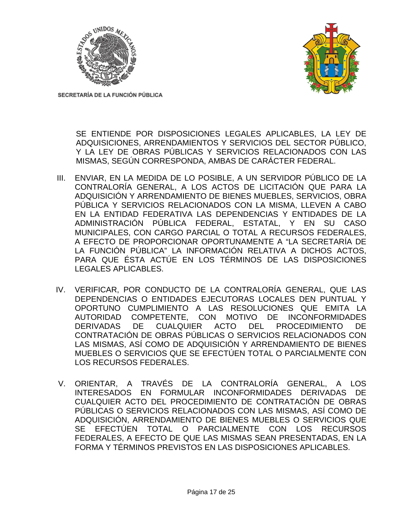



SE ENTIENDE POR DISPOSICIONES LEGALES APLICABLES, LA LEY DE ADQUISICIONES, ARRENDAMIENTOS Y SERVICIOS DEL SECTOR PÚBLICO, Y LA LEY DE OBRAS PÚBLICAS Y SERVICIOS RELACIONADOS CON LAS MISMAS, SEGÚN CORRESPONDA, AMBAS DE CARÁCTER FEDERAL.

- III. ENVIAR, EN LA MEDIDA DE LO POSIBLE, A UN SERVIDOR PÚBLICO DE LA CONTRALORÍA GENERAL, A LOS ACTOS DE LICITACIÓN QUE PARA LA ADQUISICIÓN Y ARRENDAMIENTO DE BIENES MUEBLES, SERVICIOS, OBRA PÚBLICA Y SERVICIOS RELACIONADOS CON LA MISMA, LLEVEN A CABO EN LA ENTIDAD FEDERATIVA LAS DEPENDENCIAS Y ENTIDADES DE LA ADMINISTRACIÓN PÚBLICA FEDERAL, ESTATAL, Y EN SU CASO MUNICIPALES, CON CARGO PARCIAL O TOTAL A RECURSOS FEDERALES, A EFECTO DE PROPORCIONAR OPORTUNAMENTE A "LA SECRETARÍA DE LA FUNCIÓN PÚBLICA" LA INFORMACIÓN RELATIVA A DICHOS ACTOS, PARA QUE ÉSTA ACTÚE EN LOS TÉRMINOS DE LAS DISPOSICIONES LEGALES APLICABLES.
- IV. VERIFICAR, POR CONDUCTO DE LA CONTRALORÍA GENERAL, QUE LAS DEPENDENCIAS O ENTIDADES EJECUTORAS LOCALES DEN PUNTUAL Y OPORTUNO CUMPLIMIENTO A LAS RESOLUCIONES QUE EMITA LA AUTORIDAD COMPETENTE, CON MOTIVO DE INCONFORMIDADES DERIVADAS DE CUALQUIER ACTO DEL PROCEDIMIENTO DE CONTRATACIÓN DE OBRAS PÚBLICAS O SERVICIOS RELACIONADOS CON LAS MISMAS, ASÍ COMO DE ADQUISICIÓN Y ARRENDAMIENTO DE BIENES MUEBLES O SERVICIOS QUE SE EFECTÚEN TOTAL O PARCIALMENTE CON LOS RECURSOS FEDERALES.
- V. ORIENTAR, A TRAVÉS DE LA CONTRALORÍA GENERAL, A LOS INTERESADOS EN FORMULAR INCONFORMIDADES DERIVADAS DE CUALQUIER ACTO DEL PROCEDIMIENTO DE CONTRATACIÓN DE OBRAS PÚBLICAS O SERVICIOS RELACIONADOS CON LAS MISMAS, ASÍ COMO DE ADQUISICIÓN, ARRENDAMIENTO DE BIENES MUEBLES O SERVICIOS QUE SE EFECTÚEN TOTAL O PARCIALMENTE CON LOS RECURSOS FEDERALES, A EFECTO DE QUE LAS MISMAS SEAN PRESENTADAS, EN LA FORMA Y TÉRMINOS PREVISTOS EN LAS DISPOSICIONES APLICABLES.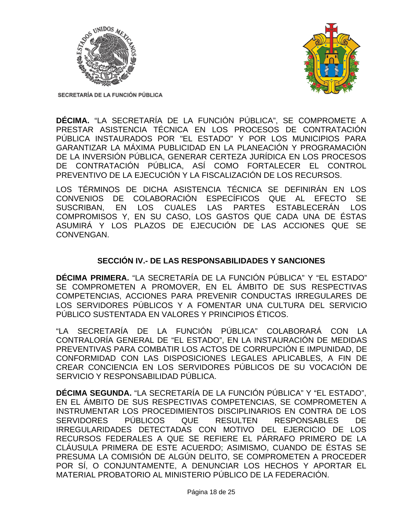



**DÉCIMA.** "LA SECRETARÍA DE LA FUNCIÓN PÚBLICA", SE COMPROMETE A PRESTAR ASISTENCIA TÉCNICA EN LOS PROCESOS DE CONTRATACIÓN PÚBLICA INSTAURADOS POR "EL ESTADO" Y POR LOS MUNICIPIOS PARA GARANTIZAR LA MÁXIMA PUBLICIDAD EN LA PLANEACIÓN Y PROGRAMACIÓN DE LA INVERSIÓN PÚBLICA, GENERAR CERTEZA JURÍDICA EN LOS PROCESOS DE CONTRATACIÓN PÚBLICA, ASÍ COMO FORTALECER EL CONTROL PREVENTIVO DE LA EJECUCIÓN Y LA FISCALIZACIÓN DE LOS RECURSOS.

LOS TÉRMINOS DE DICHA ASISTENCIA TÉCNICA SE DEFINIRÁN EN LOS CONVENIOS DE COLABORACIÓN ESPECÍFICOS QUE AL EFECTO SE SUSCRIBAN, EN LOS CUALES LAS PARTES ESTABLECERÁN LOS COMPROMISOS Y, EN SU CASO, LOS GASTOS QUE CADA UNA DE ÉSTAS ASUMIRÁ Y LOS PLAZOS DE EJECUCIÓN DE LAS ACCIONES QUE SE CONVENGAN.

#### **SECCIÓN IV.- DE LAS RESPONSABILIDADES Y SANCIONES**

**DÉCIMA PRIMERA.** "LA SECRETARÍA DE LA FUNCIÓN PÚBLICA" Y "EL ESTADO" SE COMPROMETEN A PROMOVER, EN EL ÁMBITO DE SUS RESPECTIVAS COMPETENCIAS, ACCIONES PARA PREVENIR CONDUCTAS IRREGULARES DE LOS SERVIDORES PÚBLICOS Y A FOMENTAR UNA CULTURA DEL SERVICIO PÚBLICO SUSTENTADA EN VALORES Y PRINCIPIOS ÉTICOS.

"LA SECRETARÍA DE LA FUNCIÓN PÚBLICA" COLABORARÁ CON LA CONTRALORÍA GENERAL DE "EL ESTADO", EN LA INSTAURACIÓN DE MEDIDAS PREVENTIVAS PARA COMBATIR LOS ACTOS DE CORRUPCIÓN E IMPUNIDAD, DE CONFORMIDAD CON LAS DISPOSICIONES LEGALES APLICABLES, A FIN DE CREAR CONCIENCIA EN LOS SERVIDORES PÚBLICOS DE SU VOCACIÓN DE SERVICIO Y RESPONSABILIDAD PÚBLICA.

**DÉCIMA SEGUNDA.** "LA SECRETARÍA DE LA FUNCIÓN PÚBLICA" Y "EL ESTADO", EN EL ÁMBITO DE SUS RESPECTIVAS COMPETENCIAS, SE COMPROMETEN A INSTRUMENTAR LOS PROCEDIMIENTOS DISCIPLINARIOS EN CONTRA DE LOS SERVIDORES PÚBLICOS QUE RESULTEN RESPONSABLES DE IRREGULARIDADES DETECTADAS CON MOTIVO DEL EJERCICIO DE LOS RECURSOS FEDERALES A QUE SE REFIERE EL PÁRRAFO PRIMERO DE LA CLÁUSULA PRIMERA DE ESTE ACUERDO; ASIMISMO, CUANDO DE ÉSTAS SE PRESUMA LA COMISIÓN DE ALGÚN DELITO, SE COMPROMETEN A PROCEDER POR SÍ, O CONJUNTAMENTE, A DENUNCIAR LOS HECHOS Y APORTAR EL MATERIAL PROBATORIO AL MINISTERIO PÚBLICO DE LA FEDERACIÓN.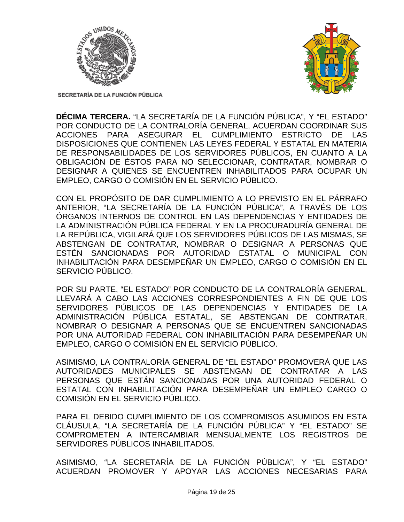



**DÉCIMA TERCERA.** "LA SECRETARÍA DE LA FUNCIÓN PÚBLICA", Y "EL ESTADO" POR CONDUCTO DE LA CONTRALORÍA GENERAL, ACUERDAN COORDINAR SUS ACCIONES PARA ASEGURAR EL CUMPLIMIENTO ESTRICTO DE LAS DISPOSICIONES QUE CONTIENEN LAS LEYES FEDERAL Y ESTATAL EN MATERIA DE RESPONSABILIDADES DE LOS SERVIDORES PÚBLICOS, EN CUANTO A LA OBLIGACIÓN DE ÉSTOS PARA NO SELECCIONAR, CONTRATAR, NOMBRAR O DESIGNAR A QUIENES SE ENCUENTREN INHABILITADOS PARA OCUPAR UN EMPLEO, CARGO O COMISIÓN EN EL SERVICIO PÚBLICO.

CON EL PROPÓSITO DE DAR CUMPLIMIENTO A LO PREVISTO EN EL PÁRRAFO ANTERIOR, "LA SECRETARÍA DE LA FUNCIÓN PÚBLICA", A TRAVÉS DE LOS ÓRGANOS INTERNOS DE CONTROL EN LAS DEPENDENCIAS Y ENTIDADES DE LA ADMINISTRACIÓN PÚBLICA FEDERAL Y EN LA PROCURADURÍA GENERAL DE LA REPÚBLICA, VIGILARÁ QUE LOS SERVIDORES PÚBLICOS DE LAS MISMAS, SE ABSTENGAN DE CONTRATAR, NOMBRAR O DESIGNAR A PERSONAS QUE ESTÉN SANCIONADAS POR AUTORIDAD ESTATAL O MUNICIPAL CON INHABILITACIÓN PARA DESEMPEÑAR UN EMPLEO, CARGO O COMISIÓN EN EL SERVICIO PÚBLICO.

POR SU PARTE, "EL ESTADO" POR CONDUCTO DE LA CONTRALORÍA GENERAL, LLEVARÁ A CABO LAS ACCIONES CORRESPONDIENTES A FIN DE QUE LOS SERVIDORES PÚBLICOS DE LAS DEPENDENCIAS Y ENTIDADES DE LA ADMINISTRACIÓN PÚBLICA ESTATAL, SE ABSTENGAN DE CONTRATAR, NOMBRAR O DESIGNAR A PERSONAS QUE SE ENCUENTREN SANCIONADAS POR UNA AUTORIDAD FEDERAL CON INHABILITACIÓN PARA DESEMPEÑAR UN EMPLEO, CARGO O COMISIÓN EN EL SERVICIO PÚBLICO.

ASIMISMO, LA CONTRALORÍA GENERAL DE "EL ESTADO" PROMOVERÁ QUE LAS AUTORIDADES MUNICIPALES SE ABSTENGAN DE CONTRATAR A LAS PERSONAS QUE ESTÁN SANCIONADAS POR UNA AUTORIDAD FEDERAL O ESTATAL CON INHABILITACIÓN PARA DESEMPEÑAR UN EMPLEO CARGO O COMISIÓN EN EL SERVICIO PÚBLICO.

PARA EL DEBIDO CUMPLIMIENTO DE LOS COMPROMISOS ASUMIDOS EN ESTA CLÁUSULA, "LA SECRETARÍA DE LA FUNCIÓN PÚBLICA" Y "EL ESTADO" SE COMPROMETEN A INTERCAMBIAR MENSUALMENTE LOS REGISTROS DE SERVIDORES PÚBLICOS INHABILITADOS.

ASIMISMO, "LA SECRETARÍA DE LA FUNCIÓN PÚBLICA", Y "EL ESTADO" ACUERDAN PROMOVER Y APOYAR LAS ACCIONES NECESARIAS PARA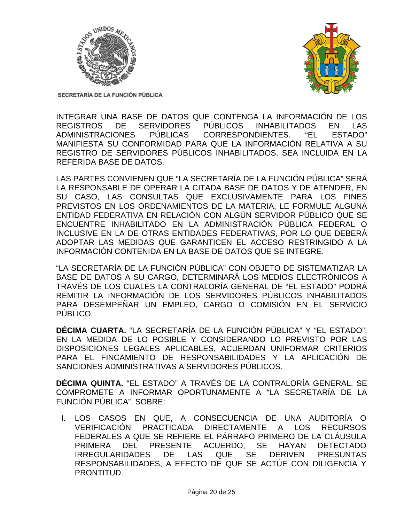



INTEGRAR UNA BASE DE DATOS QUE CONTENGA LA INFORMACIÓN DE LOS REGISTROS DE SERVIDORES PÚBLICOS INHABILITADOS EN LAS ADMINISTRACIONES PÚBLICAS CORRESPONDIENTES. "EL ESTADO" MANIFIESTA SU CONFORMIDAD PARA QUE LA INFORMACIÓN RELATIVA A SU REGISTRO DE SERVIDORES PÚBLICOS INHABILITADOS, SEA INCLUIDA EN LA REFERIDA BASE DE DATOS.

LAS PARTES CONVIENEN QUE "LA SECRETARÍA DE LA FUNCIÓN PÚBLICA" SERÁ LA RESPONSABLE DE OPERAR LA CITADA BASE DE DATOS Y DE ATENDER, EN SU CASO, LAS CONSULTAS QUE EXCLUSIVAMENTE PARA LOS FINES PREVISTOS EN LOS ORDENAMIENTOS DE LA MATERIA, LE FORMULE ALGUNA ENTIDAD FEDERATIVA EN RELACIÓN CON ALGÚN SERVIDOR PÚBLICO QUE SE ENCUENTRE INHABILITADO EN LA ADMINISTRACIÓN PÚBLICA FEDERAL O INCLUSIVE EN LA DE OTRAS ENTIDADES FEDERATIVAS, POR LO QUE DEBERÁ ADOPTAR LAS MEDIDAS QUE GARANTICEN EL ACCESO RESTRINGIDO A LA INFORMACIÓN CONTENIDA EN LA BASE DE DATOS QUE SE INTEGRE.

"LA SECRETARÍA DE LA FUNCIÓN PÚBLICA" CON OBJETO DE SISTEMATIZAR LA BASE DE DATOS A SU CARGO, DETERMINARÁ LOS MEDIOS ELECTRÓNICOS A TRAVÉS DE LOS CUALES LA CONTRALORÍA GENERAL DE "EL ESTADO" PODRÁ REMITIR LA INFORMACIÓN DE LOS SERVIDORES PÚBLICOS INHABILITADOS PARA DESEMPEÑAR UN EMPLEO, CARGO O COMISIÓN EN EL SERVICIO PÚBLICO.

**DÉCIMA CUARTA.** "LA SECRETARÍA DE LA FUNCIÓN PÚBLICA" Y "EL ESTADO", EN LA MEDIDA DE LO POSIBLE Y CONSIDERANDO LO PREVISTO POR LAS DISPOSICIONES LEGALES APLICABLES, ACUERDAN UNIFORMAR CRITERIOS PARA EL FINCAMIENTO DE RESPONSABILIDADES Y LA APLICACIÓN DE SANCIONES ADMINISTRATIVAS A SERVIDORES PÚBLICOS.

**DÉCIMA QUINTA.** "EL ESTADO" A TRAVÉS DE LA CONTRALORÍA GENERAL, SE COMPROMETE A INFORMAR OPORTUNAMENTE A "LA SECRETARÍA DE LA FUNCIÓN PÚBLICA", SOBRE:

I. LOS CASOS EN QUE, A CONSECUENCIA DE UNA AUDITORÍA O VERIFICACIÓN PRACTICADA DIRECTAMENTE A LOS RECURSOS FEDERALES A QUE SE REFIERE EL PÁRRAFO PRIMERO DE LA CLÁUSULA PRIMERA DEL PRESENTE ACUERDO, SE HAYAN DETECTADO IRREGULARIDADES DE LAS QUE SE DERIVEN PRESUNTAS RESPONSABILIDADES, A EFECTO DE QUE SE ACTÚE CON DILIGENCIA Y PRONTITUD.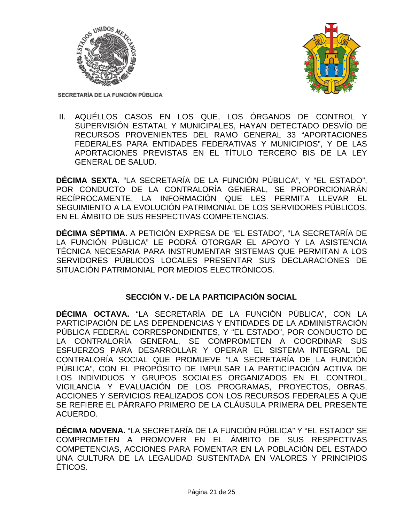



II. AQUÉLLOS CASOS EN LOS QUE, LOS ÓRGANOS DE CONTROL Y SUPERVISIÓN ESTATAL Y MUNICIPALES, HAYAN DETECTADO DESVÍO DE RECURSOS PROVENIENTES DEL RAMO GENERAL 33 "APORTACIONES FEDERALES PARA ENTIDADES FEDERATIVAS Y MUNICIPIOS", Y DE LAS APORTACIONES PREVISTAS EN EL TÍTULO TERCERO BIS DE LA LEY GENERAL DE SALUD.

**DÉCIMA SEXTA.** "LA SECRETARÍA DE LA FUNCIÓN PÚBLICA", Y "EL ESTADO", POR CONDUCTO DE LA CONTRALORÍA GENERAL, SE PROPORCIONARÁN RECÍPROCAMENTE, LA INFORMACIÓN QUE LES PERMITA LLEVAR EL SEGUIMIENTO A LA EVOLUCIÓN PATRIMONIAL DE LOS SERVIDORES PÚBLICOS, EN EL ÁMBITO DE SUS RESPECTIVAS COMPETENCIAS.

**DÉCIMA SÉPTIMA.** A PETICIÓN EXPRESA DE "EL ESTADO", "LA SECRETARÍA DE LA FUNCIÓN PÚBLICA" LE PODRÁ OTORGAR EL APOYO Y LA ASISTENCIA TÉCNICA NECESARIA PARA INSTRUMENTAR SISTEMAS QUE PERMITAN A LOS SERVIDORES PÚBLICOS LOCALES PRESENTAR SUS DECLARACIONES DE SITUACIÓN PATRIMONIAL POR MEDIOS ELECTRÓNICOS.

# **SECCIÓN V.- DE LA PARTICIPACIÓN SOCIAL**

**DÉCIMA OCTAVA.** "LA SECRETARÍA DE LA FUNCIÓN PÚBLICA", CON LA PARTICIPACIÓN DE LAS DEPENDENCIAS Y ENTIDADES DE LA ADMINISTRACIÓN PÚBLICA FEDERAL CORRESPONDIENTES, Y "EL ESTADO", POR CONDUCTO DE LA CONTRALORÍA GENERAL, SE COMPROMETEN A COORDINAR SUS ESFUERZOS PARA DESARROLLAR Y OPERAR EL SISTEMA INTEGRAL DE CONTRALORÍA SOCIAL QUE PROMUEVE "LA SECRETARÍA DE LA FUNCIÓN PÚBLICA", CON EL PROPÓSITO DE IMPULSAR LA PARTICIPACIÓN ACTIVA DE LOS INDIVIDUOS Y GRUPOS SOCIALES ORGANIZADOS EN EL CONTROL, VIGILANCIA Y EVALUACIÓN DE LOS PROGRAMAS, PROYECTOS, OBRAS, ACCIONES Y SERVICIOS REALIZADOS CON LOS RECURSOS FEDERALES A QUE SE REFIERE EL PÁRRAFO PRIMERO DE LA CLÁUSULA PRIMERA DEL PRESENTE ACUERDO.

**DÉCIMA NOVENA.** "LA SECRETARÍA DE LA FUNCIÓN PÚBLICA" Y "EL ESTADO" SE COMPROMETEN A PROMOVER EN EL ÁMBITO DE SUS RESPECTIVAS COMPETENCIAS, ACCIONES PARA FOMENTAR EN LA POBLACIÓN DEL ESTADO UNA CULTURA DE LA LEGALIDAD SUSTENTADA EN VALORES Y PRINCIPIOS ÉTICOS.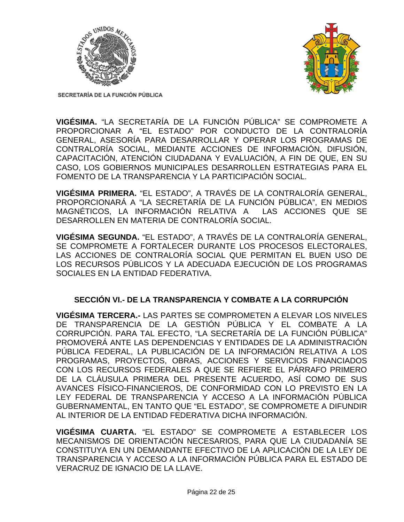



**VIGÉSIMA.** "LA SECRETARÍA DE LA FUNCIÓN PÚBLICA" SE COMPROMETE A PROPORCIONAR A "EL ESTADO" POR CONDUCTO DE LA CONTRALORÍA GENERAL, ASESORÍA PARA DESARROLLAR Y OPERAR LOS PROGRAMAS DE CONTRALORÍA SOCIAL, MEDIANTE ACCIONES DE INFORMACIÓN, DIFUSIÓN, CAPACITACIÓN, ATENCIÓN CIUDADANA Y EVALUACIÓN, A FIN DE QUE, EN SU CASO, LOS GOBIERNOS MUNICIPALES DESARROLLEN ESTRATEGIAS PARA EL FOMENTO DE LA TRANSPARENCIA Y LA PARTICIPACIÓN SOCIAL.

**VIGÉSIMA PRIMERA.** "EL ESTADO", A TRAVÉS DE LA CONTRALORÍA GENERAL, PROPORCIONARÁ A "LA SECRETARÍA DE LA FUNCIÓN PÚBLICA", EN MEDIOS MAGNÉTICOS, LA INFORMACIÓN RELATIVA A LAS ACCIONES QUE SE DESARROLLEN EN MATERIA DE CONTRALORÍA SOCIAL.

**VIGÉSIMA SEGUNDA.** "EL ESTADO", A TRAVÉS DE LA CONTRALORÍA GENERAL, SE COMPROMETE A FORTALECER DURANTE LOS PROCESOS ELECTORALES, LAS ACCIONES DE CONTRALORÍA SOCIAL QUE PERMITAN EL BUEN USO DE LOS RECURSOS PÚBLICOS Y LA ADECUADA EJECUCIÓN DE LOS PROGRAMAS SOCIALES EN LA ENTIDAD FEDERATIVA.

#### **SECCIÓN VI.- DE LA TRANSPARENCIA Y COMBATE A LA CORRUPCIÓN**

**VIGÉSIMA TERCERA.-** LAS PARTES SE COMPROMETEN A ELEVAR LOS NIVELES DE TRANSPARENCIA DE LA GESTIÓN PÚBLICA Y EL COMBATE A LA CORRUPCIÓN. PARA TAL EFECTO, "LA SECRETARÍA DE LA FUNCIÓN PÚBLICA" PROMOVERÁ ANTE LAS DEPENDENCIAS Y ENTIDADES DE LA ADMINISTRACIÓN PÚBLICA FEDERAL, LA PUBLICACIÓN DE LA INFORMACIÓN RELATIVA A LOS PROGRAMAS, PROYECTOS, OBRAS, ACCIONES Y SERVICIOS FINANCIADOS CON LOS RECURSOS FEDERALES A QUE SE REFIERE EL PÁRRAFO PRIMERO DE LA CLÁUSULA PRIMERA DEL PRESENTE ACUERDO, ASÍ COMO DE SUS AVANCES FÍSICO-FINANCIEROS, DE CONFORMIDAD CON LO PREVISTO EN LA LEY FEDERAL DE TRANSPARENCIA Y ACCESO A LA INFORMACIÓN PÚBLICA GUBERNAMENTAL, EN TANTO QUE "EL ESTADO", SE COMPROMETE A DIFUNDIR AL INTERIOR DE LA ENTIDAD FEDERATIVA DICHA INFORMACIÓN.

**VIGÉSIMA CUARTA.** "EL ESTADO" SE COMPROMETE A ESTABLECER LOS MECANISMOS DE ORIENTACIÓN NECESARIOS, PARA QUE LA CIUDADANÍA SE CONSTITUYA EN UN DEMANDANTE EFECTIVO DE LA APLICACIÓN DE LA LEY DE TRANSPARENCIA Y ACCESO A LA INFORMACIÓN PÚBLICA PARA EL ESTADO DE VERACRUZ DE IGNACIO DE LA LLAVE.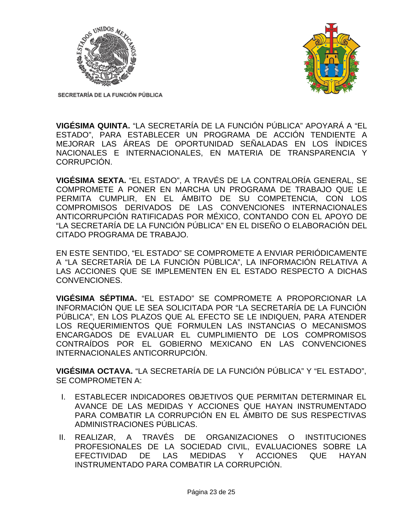



**VIGÉSIMA QUINTA.** "LA SECRETARÍA DE LA FUNCIÓN PÚBLICA" APOYARÁ A "EL ESTADO", PARA ESTABLECER UN PROGRAMA DE ACCIÓN TENDIENTE A MEJORAR LAS ÁREAS DE OPORTUNIDAD SEÑALADAS EN LOS ÍNDICES NACIONALES E INTERNACIONALES, EN MATERIA DE TRANSPARENCIA Y CORRUPCIÓN.

**VIGÉSIMA SEXTA.** "EL ESTADO", A TRAVÉS DE LA CONTRALORÍA GENERAL, SE COMPROMETE A PONER EN MARCHA UN PROGRAMA DE TRABAJO QUE LE PERMITA CUMPLIR, EN EL ÁMBITO DE SU COMPETENCIA, CON LOS COMPROMISOS DERIVADOS DE LAS CONVENCIONES INTERNACIONALES ANTICORRUPCIÓN RATIFICADAS POR MÉXICO, CONTANDO CON EL APOYO DE "LA SECRETARÍA DE LA FUNCIÓN PÚBLICA" EN EL DISEÑO O ELABORACIÓN DEL CITADO PROGRAMA DE TRABAJO.

EN ESTE SENTIDO, "EL ESTADO" SE COMPROMETE A ENVIAR PERIÓDICAMENTE A "LA SECRETARÍA DE LA FUNCIÓN PÚBLICA", LA INFORMACIÓN RELATIVA A LAS ACCIONES QUE SE IMPLEMENTEN EN EL ESTADO RESPECTO A DICHAS CONVENCIONES.

**VIGÉSIMA SÉPTIMA.** "EL ESTADO" SE COMPROMETE A PROPORCIONAR LA INFORMACIÓN QUE LE SEA SOLICITADA POR "LA SECRETARÍA DE LA FUNCIÓN PÚBLICA", EN LOS PLAZOS QUE AL EFECTO SE LE INDIQUEN, PARA ATENDER LOS REQUERIMIENTOS QUE FORMULEN LAS INSTANCIAS O MECANISMOS ENCARGADOS DE EVALUAR EL CUMPLIMIENTO DE LOS COMPROMISOS CONTRAÍDOS POR EL GOBIERNO MEXICANO EN LAS CONVENCIONES INTERNACIONALES ANTICORRUPCIÓN.

**VIGÉSIMA OCTAVA.** "LA SECRETARÍA DE LA FUNCIÓN PÚBLICA" Y "EL ESTADO", SE COMPROMETEN A:

- I. ESTABLECER INDICADORES OBJETIVOS QUE PERMITAN DETERMINAR EL AVANCE DE LAS MEDIDAS Y ACCIONES QUE HAYAN INSTRUMENTADO PARA COMBATIR LA CORRUPCIÓN EN EL ÁMBITO DE SUS RESPECTIVAS ADMINISTRACIONES PÚBLICAS.
- II. REALIZAR, A TRAVÉS DE ORGANIZACIONES O INSTITUCIONES PROFESIONALES DE LA SOCIEDAD CIVIL, EVALUACIONES SOBRE LA EFECTIVIDAD DE LAS MEDIDAS Y ACCIONES QUE HAYAN INSTRUMENTADO PARA COMBATIR LA CORRUPCIÓN.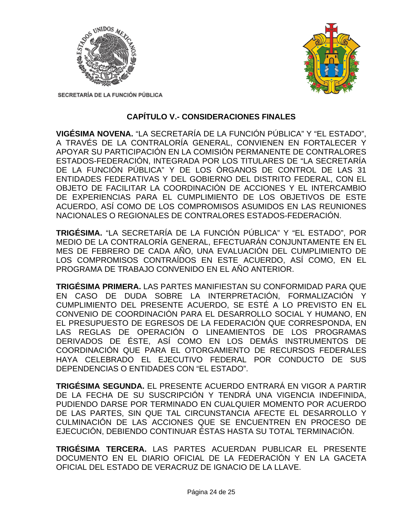



# **CAPÍTULO V.- CONSIDERACIONES FINALES**

**VIGÉSIMA NOVENA.** "LA SECRETARÍA DE LA FUNCIÓN PÚBLICA" Y "EL ESTADO", A TRAVÉS DE LA CONTRALORÍA GENERAL, CONVIENEN EN FORTALECER Y APOYAR SU PARTICIPACIÓN EN LA COMISIÓN PERMANENTE DE CONTRALORES ESTADOS-FEDERACIÓN, INTEGRADA POR LOS TITULARES DE "LA SECRETARÍA DE LA FUNCIÓN PÚBLICA" Y DE LOS ÓRGANOS DE CONTROL DE LAS 31 ENTIDADES FEDERATIVAS Y DEL GOBIERNO DEL DISTRITO FEDERAL, CON EL OBJETO DE FACILITAR LA COORDINACIÓN DE ACCIONES Y EL INTERCAMBIO DE EXPERIENCIAS PARA EL CUMPLIMIENTO DE LOS OBJETIVOS DE ESTE ACUERDO, ASÍ COMO DE LOS COMPROMISOS ASUMIDOS EN LAS REUNIONES NACIONALES O REGIONALES DE CONTRALORES ESTADOS-FEDERACIÓN.

**TRIGÉSIMA.** "LA SECRETARÍA DE LA FUNCIÓN PÚBLICA" Y "EL ESTADO", POR MEDIO DE LA CONTRALORÍA GENERAL, EFECTUARÁN CONJUNTAMENTE EN EL MES DE FEBRERO DE CADA AÑO, UNA EVALUACIÓN DEL CUMPLIMIENTO DE LOS COMPROMISOS CONTRAÍDOS EN ESTE ACUERDO, ASÍ COMO, EN EL PROGRAMA DE TRABAJO CONVENIDO EN EL AÑO ANTERIOR.

**TRIGÉSIMA PRIMERA.** LAS PARTES MANIFIESTAN SU CONFORMIDAD PARA QUE EN CASO DE DUDA SOBRE LA INTERPRETACIÓN, FORMALIZACIÓN Y CUMPLIMIENTO DEL PRESENTE ACUERDO, SE ESTÉ A LO PREVISTO EN EL CONVENIO DE COORDINACIÓN PARA EL DESARROLLO SOCIAL Y HUMANO, EN EL PRESUPUESTO DE EGRESOS DE LA FEDERACIÓN QUE CORRESPONDA, EN LAS REGLAS DE OPERACIÓN O LINEAMIENTOS DE LOS PROGRAMAS DERIVADOS DE ÉSTE, ASÍ COMO EN LOS DEMÁS INSTRUMENTOS DE COORDINACIÓN QUE PARA EL OTORGAMIENTO DE RECURSOS FEDERALES HAYA CELEBRADO EL EJECUTIVO FEDERAL POR CONDUCTO DE SUS DEPENDENCIAS O ENTIDADES CON "EL ESTADO".

**TRIGÉSIMA SEGUNDA.** EL PRESENTE ACUERDO ENTRARÁ EN VIGOR A PARTIR DE LA FECHA DE SU SUSCRIPCIÓN Y TENDRÁ UNA VIGENCIA INDEFINIDA, PUDIENDO DARSE POR TERMINADO EN CUALQUIER MOMENTO POR ACUERDO DE LAS PARTES, SIN QUE TAL CIRCUNSTANCIA AFECTE EL DESARROLLO Y CULMINACIÓN DE LAS ACCIONES QUE SE ENCUENTREN EN PROCESO DE EJECUCIÓN, DEBIENDO CONTINUAR ÉSTAS HASTA SU TOTAL TERMINACIÓN.

**TRIGÉSIMA TERCERA.** LAS PARTES ACUERDAN PUBLICAR EL PRESENTE DOCUMENTO EN EL DIARIO OFICIAL DE LA FEDERACIÓN Y EN LA GACETA OFICIAL DEL ESTADO DE VERACRUZ DE IGNACIO DE LA LLAVE.